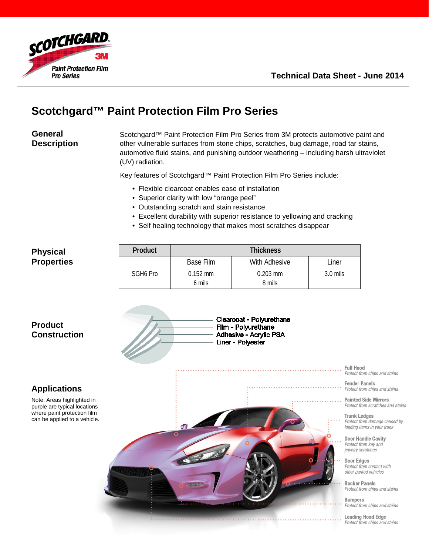



# **Scotchgard™ Paint Protection Film Pro Series**

## **General Description**

Scotchgard™ Paint Protection Film Pro Series from 3M protects automotive paint and other vulnerable surfaces from stone chips, scratches, bug damage, road tar stains, automotive fluid stains, and punishing outdoor weathering – including harsh ultraviolet (UV) radiation.

Key features of Scotchgard™ Paint Protection Film Pro Series include:

- Flexible clearcoat enables ease of installation
- Superior clarity with low "orange peel"
- Outstanding scratch and stain resistance
- Excellent durability with superior resistance to yellowing and cracking
- Self healing technology that makes most scratches disappear

### **Physical Properties**

| Product              | <b>Thickness</b> |               |            |
|----------------------|------------------|---------------|------------|
|                      | Base Film        | With Adhesive | Liner      |
| SGH <sub>6</sub> Pro | $0.152$ mm       | $0.203$ mm    | $3.0$ mils |
|                      | 6 mils           | 8 mils        |            |

#### Clearcoat - Polyurethane Film - Polyurethane Adhesive - Acrylic PSA Liner - Polyester **Full Hood** Protect from chips and stains **Fender Panels** Protect from chips and stains **Painted Side Mirrors** Protect from scratches and stains **Trunk Ledges** Protect from damage caused by loading items in your trunk **Door Handle Cavity** Protect from key and jewelry scratches **Door Edges** Protect from contact with other parked vehicles **Rocker Panels** Protect from chips and stains **Bumpers** Protect from chips and stains **Leading Hood Edge** Protect from chips and stains

## **Product Construction**

## **Applications**

Note: Areas highlighted in purple are typical locations where paint protection film can be applied to a vehicle.